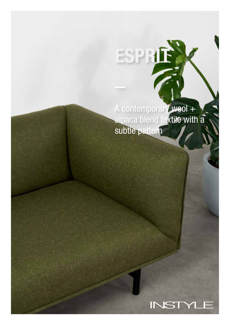A contemporary wool + alpaca blend textile with a subtle pattern

**ESPRIE** 

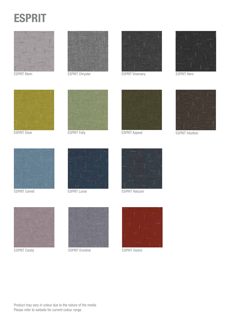



ESPRIT Atom



ESPRIT Chrysler



ESPRIT Visionary



ESPRIT Hero



ESPRIT Dixie **ESPRIT Folly** 





ESPRIT Appeal ESPRIT Intuition





ESPRIT Comet



ESPRIT Lunar



ESPRIT Halcyon





ESPRIT Candy **ESPRIT Emotive** ESPRIT Emotive ESPRIT Desire